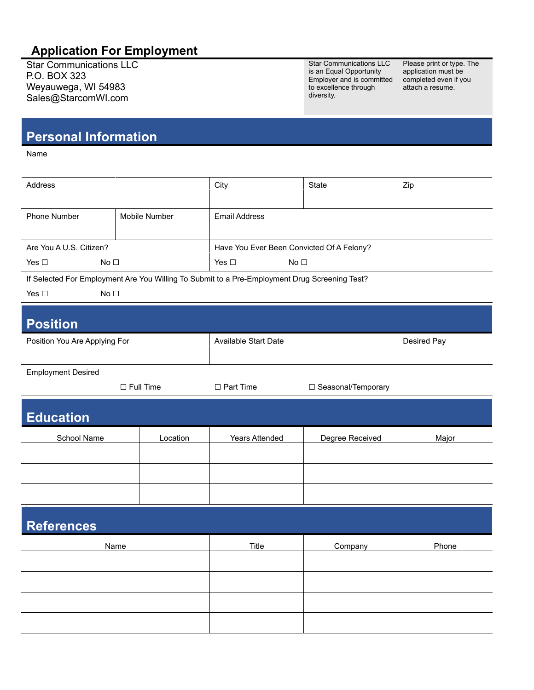## **Application For Employment**

Star Communications LLC P.O. BOX 323 Weyauwega, WI 54983 Sales@StarcomWI.com

Star Communications LLC is an Equal Opportunity Employer and is committed to excellence through diversity.

Please print or type. The application must be completed even if you attach a resume.

## **Personal Information**

Name

| Address                          |               | City                                                                                          | State                | Zip         |  |  |
|----------------------------------|---------------|-----------------------------------------------------------------------------------------------|----------------------|-------------|--|--|
| Phone Number                     | Mobile Number | <b>Email Address</b>                                                                          |                      |             |  |  |
|                                  |               |                                                                                               |                      |             |  |  |
| Are You A U.S. Citizen?          |               | Have You Ever Been Convicted Of A Felony?                                                     |                      |             |  |  |
| Yes $\square$<br>No <sub>1</sub> |               | No $\square$<br>Yes $\square$                                                                 |                      |             |  |  |
|                                  |               | If Selected For Employment Are You Willing To Submit to a Pre-Employment Drug Screening Test? |                      |             |  |  |
| Yes $\square$<br>No <sub>1</sub> |               |                                                                                               |                      |             |  |  |
| <b>Position</b>                  |               |                                                                                               |                      |             |  |  |
| Position You Are Applying For    |               | Available Start Date                                                                          |                      | Desired Pay |  |  |
| <b>Employment Desired</b>        |               |                                                                                               |                      |             |  |  |
| $\Box$ Full Time                 |               | $\Box$ Part Time                                                                              | □ Seasonal/Temporary |             |  |  |
| <b>Education</b>                 |               |                                                                                               |                      |             |  |  |
| School Name                      | Location      | Years Attended                                                                                | Degree Received      | Major       |  |  |
|                                  |               |                                                                                               |                      |             |  |  |
|                                  |               |                                                                                               |                      |             |  |  |
|                                  |               |                                                                                               |                      |             |  |  |
| <b>References</b>                |               |                                                                                               |                      |             |  |  |
| Name                             |               | Title                                                                                         | Company              | Phone       |  |  |
|                                  |               |                                                                                               |                      |             |  |  |
|                                  |               |                                                                                               |                      |             |  |  |
|                                  |               |                                                                                               |                      |             |  |  |
|                                  |               |                                                                                               |                      |             |  |  |